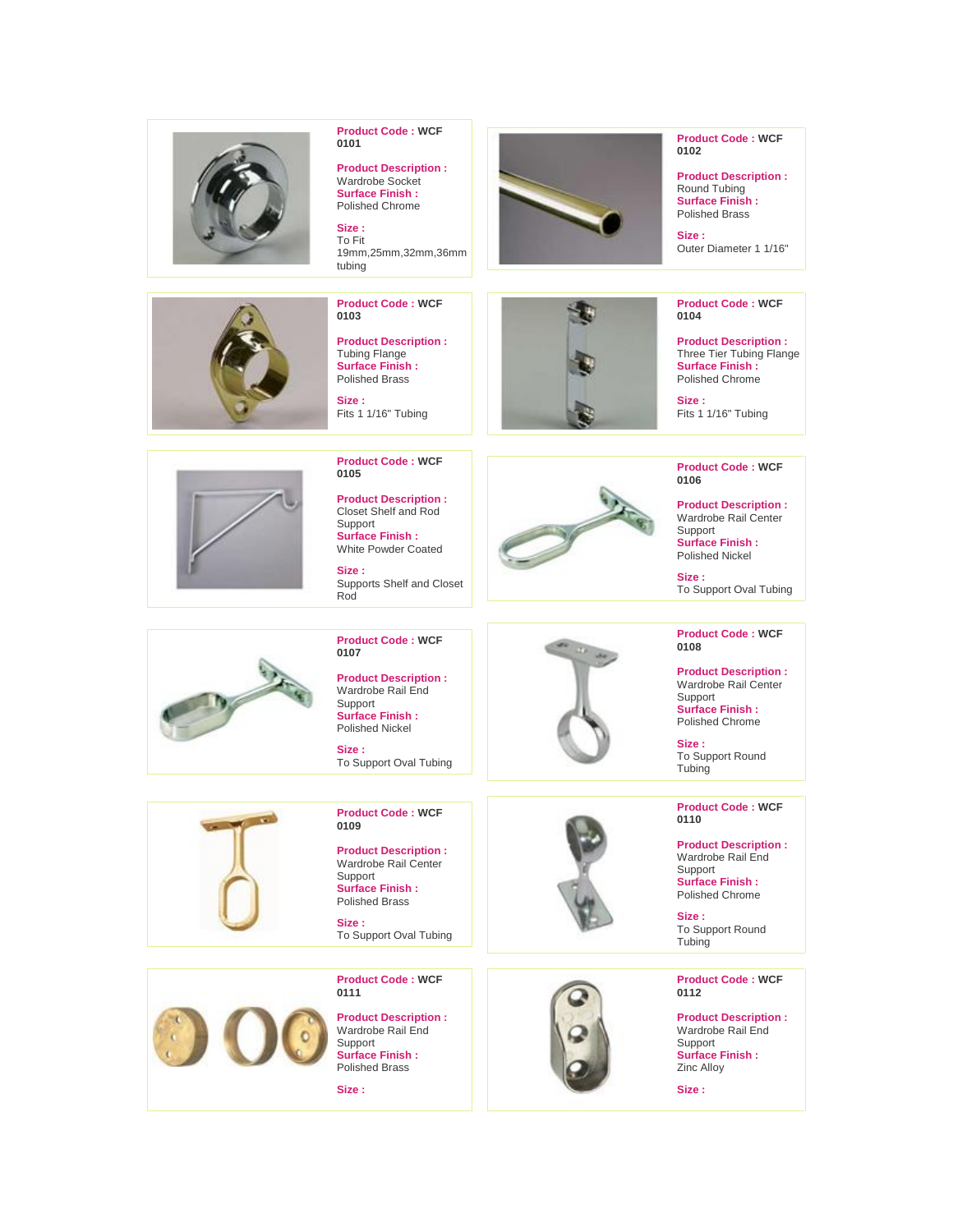



**0109 Product Description :** Wardrobe Rail Center

Support **Surface Finish :** Polished Brass

**Size :** To Support Oval Tubing



**Product Code : WCF 0111**

**Product Description :** Wardrobe Rail End Support **Surface Finish :** Polished Brass

**Size :**





**0110**

**Product Description :** Wardrobe Rail End Support **Surface Finish :** Polished Chrome

**Size :** To Support Round Tubing

## **Product Code : WCF 0112**

**Product Description :** Wardrobe Rail End Support **Surface Finish :** Zinc Alloy

**Size :**